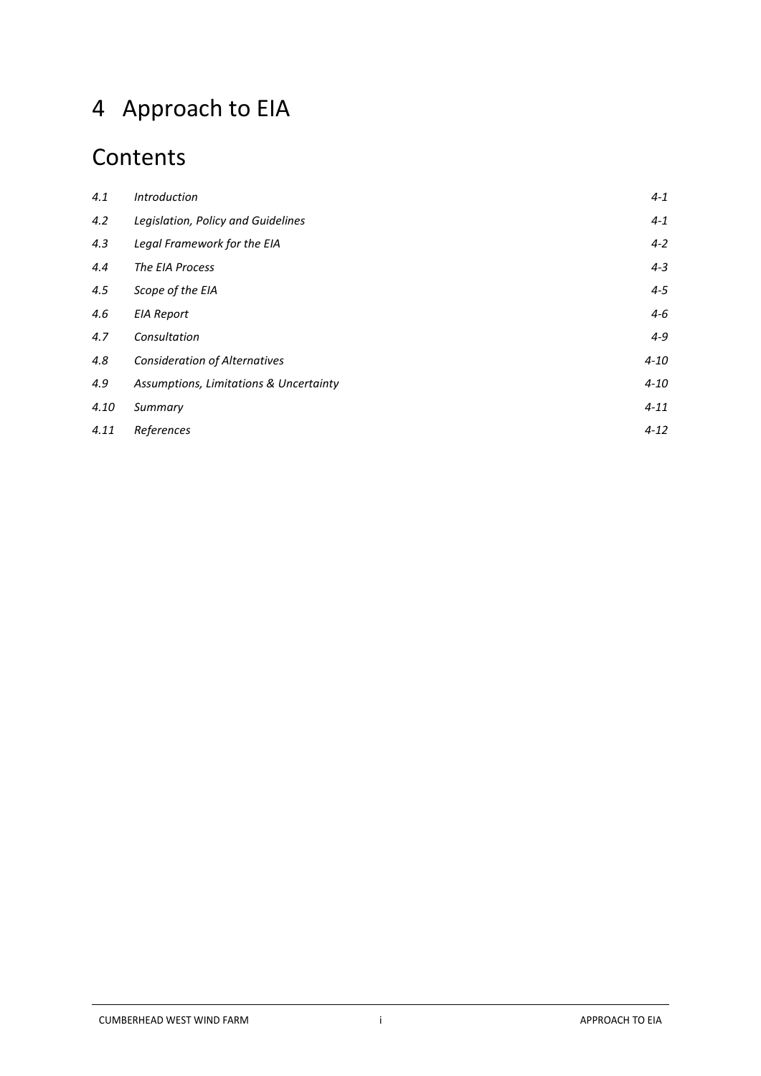# 4 Approach to EIA

## **Contents**

| 4.1  | Introduction                           | $4 - 1$  |
|------|----------------------------------------|----------|
| 4.2  | Legislation, Policy and Guidelines     | $4 - 1$  |
| 4.3  | Legal Framework for the EIA            | $4 - 2$  |
| 4.4  | The EIA Process                        | $4 - 3$  |
| 4.5  | Scope of the EIA                       | $4 - 5$  |
| 4.6  | <b>EIA Report</b>                      | $4 - 6$  |
| 4.7  | Consultation                           | $4 - 9$  |
| 4.8  | <b>Consideration of Alternatives</b>   | $4 - 10$ |
| 4.9  | Assumptions, Limitations & Uncertainty | $4 - 10$ |
| 4.10 | Summary                                | $4 - 11$ |
| 4.11 | References                             | $4 - 12$ |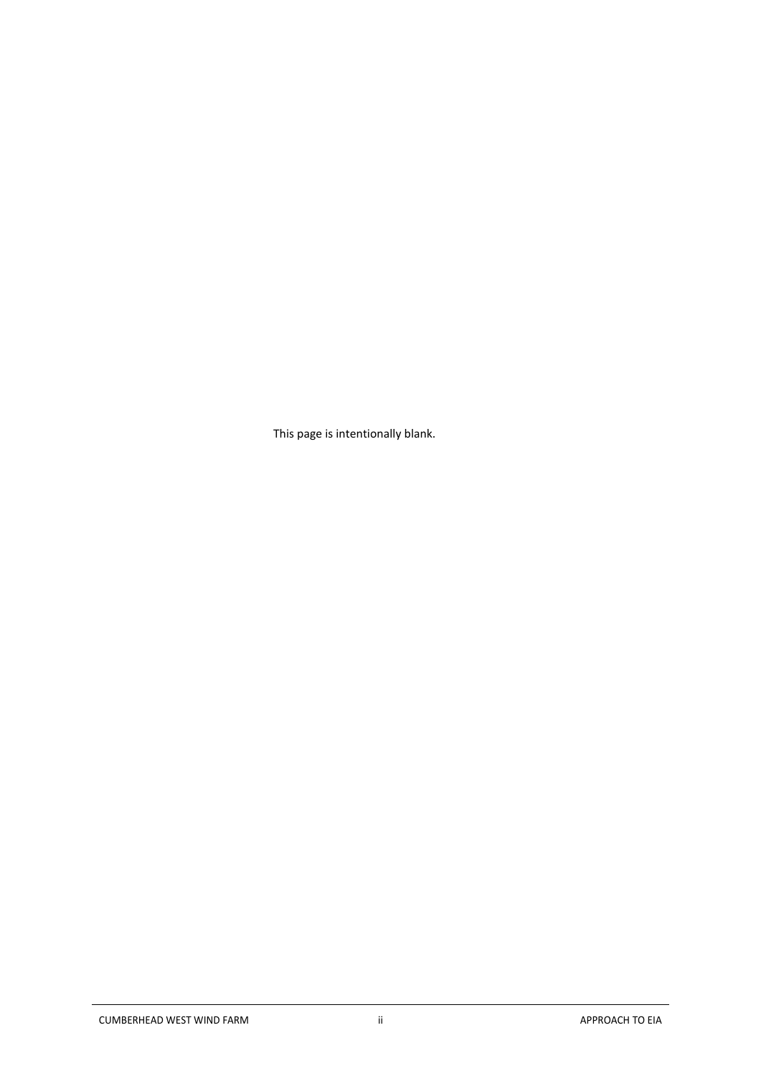This page is intentionally blank.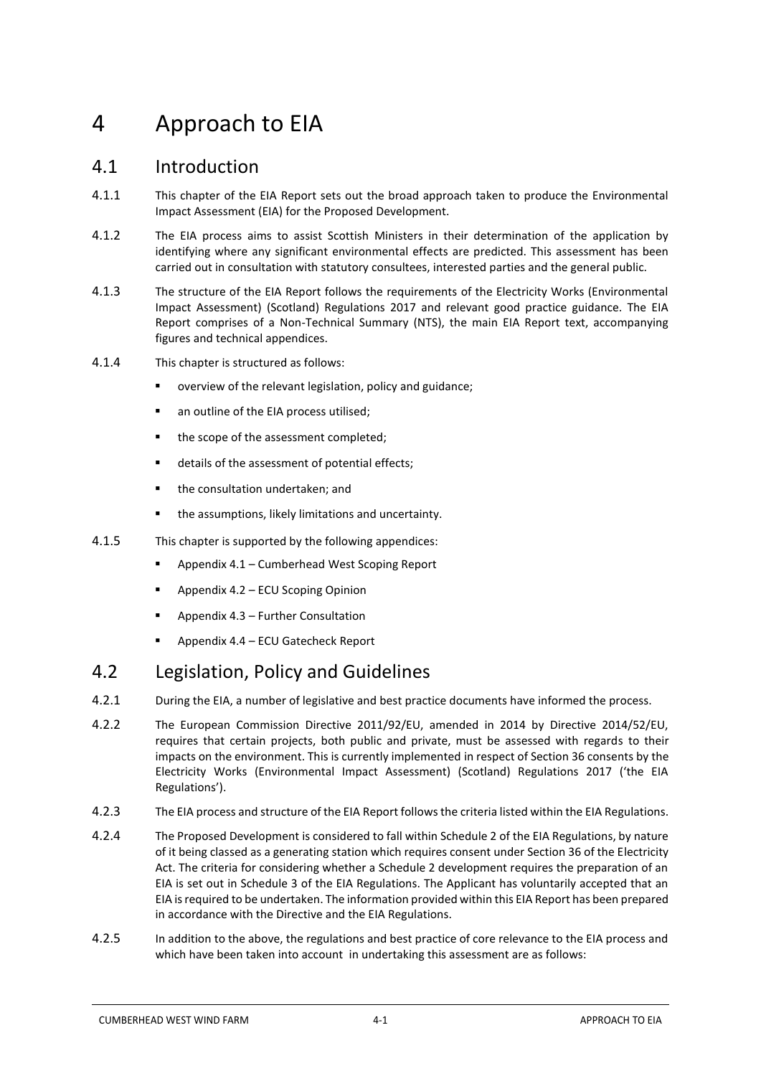## 4 Approach to EIA

## <span id="page-2-0"></span>4.1 Introduction

- 4.1.1 This chapter of the EIA Report sets out the broad approach taken to produce the Environmental Impact Assessment (EIA) for the Proposed Development.
- 4.1.2 The EIA process aims to assist Scottish Ministers in their determination of the application by identifying where any significant environmental effects are predicted. This assessment has been carried out in consultation with statutory consultees, interested parties and the general public.
- 4.1.3 The structure of the EIA Report follows the requirements of the Electricity Works (Environmental Impact Assessment) (Scotland) Regulations 2017 and relevant good practice guidance. The EIA Report comprises of a Non-Technical Summary (NTS), the main EIA Report text, accompanying figures and technical appendices.
- 4.1.4 This chapter is structured as follows:
	- overview of the relevant legislation, policy and guidance:
	- an outline of the EIA process utilised;
	- the scope of the assessment completed;
	- details of the assessment of potential effects;
	- the consultation undertaken; and
	- the assumptions, likely limitations and uncertainty.
- 4.1.5 This chapter is supported by the following appendices:
	- Appendix 4.1 Cumberhead West Scoping Report
	- Appendix 4.2 ECU Scoping Opinion
	- Appendix  $4.3$  Further Consultation
	- Appendix 4.4 ECU Gatecheck Report

## <span id="page-2-1"></span>4.2 Legislation, Policy and Guidelines

- 4.2.1 During the EIA, a number of legislative and best practice documents have informed the process.
- 4.2.2 The European Commission Directive 2011/92/EU, amended in 2014 by Directive 2014/52/EU, requires that certain projects, both public and private, must be assessed with regards to their impacts on the environment. This is currently implemented in respect of Section 36 consents by the Electricity Works (Environmental Impact Assessment) (Scotland) Regulations 2017 ('the EIA Regulations').
- 4.2.3 The EIA process and structure of the EIA Report follows the criteria listed within the EIA Regulations.
- 4.2.4 The Proposed Development is considered to fall within Schedule 2 of the EIA Regulations, by nature of it being classed as a generating station which requires consent under Section 36 of the Electricity Act. The criteria for considering whether a Schedule 2 development requires the preparation of an EIA is set out in Schedule 3 of the EIA Regulations. The Applicant has voluntarily accepted that an EIA is required to be undertaken. The information provided within this EIA Report has been prepared in accordance with the Directive and the EIA Regulations.
- 4.2.5 In addition to the above, the regulations and best practice of core relevance to the EIA process and which have been taken into account in undertaking this assessment are as follows: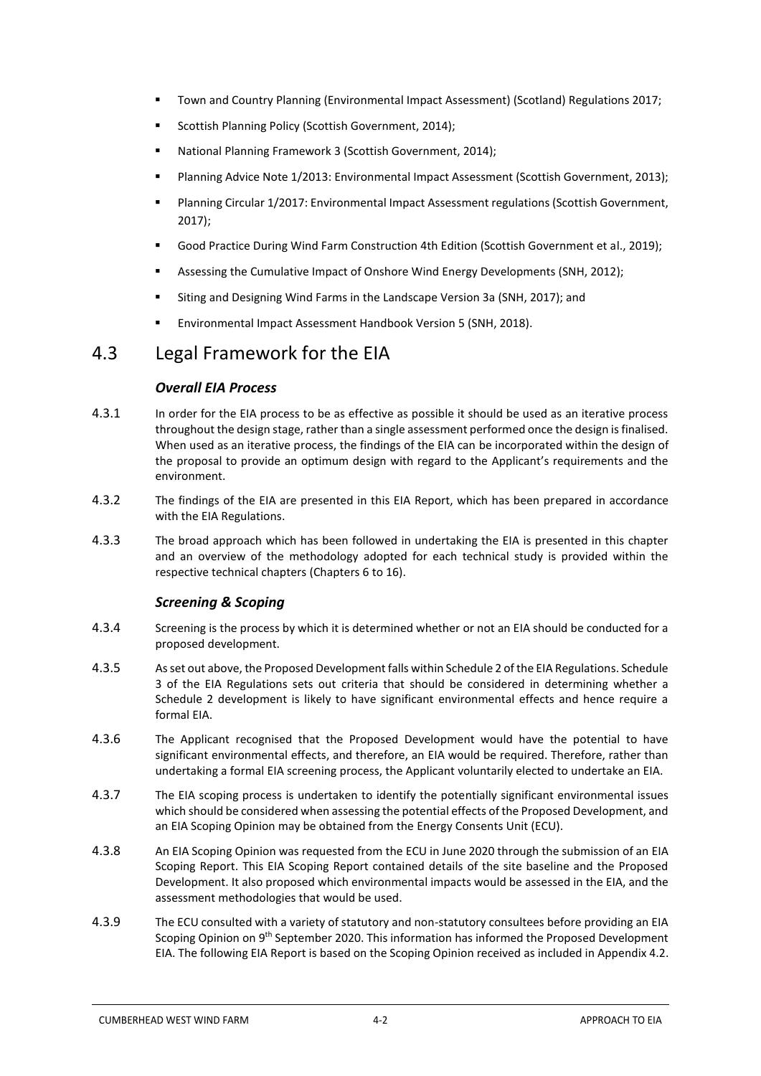- Town and Country Planning (Environmental Impact Assessment) (Scotland) Regulations 2017;
- Scottish Planning Policy (Scottish Government, 2014);
- National Planning Framework 3 (Scottish Government, 2014):
- Planning Advice Note 1/2013: Environmental Impact Assessment (Scottish Government, 2013);
- Planning Circular 1/2017: Environmental Impact Assessment regulations (Scottish Government, 2017);
- Good Practice During Wind Farm Construction 4th Edition (Scottish Government et al., 2019);
- Assessing the Cumulative Impact of Onshore Wind Energy Developments (SNH, 2012);
- Siting and Designing Wind Farms in the Landscape Version 3a (SNH, 2017); and
- Environmental Impact Assessment Handbook Version 5 (SNH, 2018).

### <span id="page-3-0"></span>4.3 Legal Framework for the EIA

#### *Overall EIA Process*

- 4.3.1 In order for the EIA process to be as effective as possible it should be used as an iterative process throughout the design stage, rather than a single assessment performed once the design is finalised. When used as an iterative process, the findings of the EIA can be incorporated within the design of the proposal to provide an optimum design with regard to the Applicant's requirements and the environment.
- 4.3.2 The findings of the EIA are presented in this EIA Report, which has been prepared in accordance with the EIA Regulations.
- 4.3.3 The broad approach which has been followed in undertaking the EIA is presented in this chapter and an overview of the methodology adopted for each technical study is provided within the respective technical chapters (Chapters 6 to 16).

#### *Screening & Scoping*

- 4.3.4 Screening is the process by which it is determined whether or not an EIA should be conducted for a proposed development.
- 4.3.5 As set out above, the Proposed Development falls within Schedule 2 of the EIA Regulations. Schedule 3 of the EIA Regulations sets out criteria that should be considered in determining whether a Schedule 2 development is likely to have significant environmental effects and hence require a formal EIA.
- 4.3.6 The Applicant recognised that the Proposed Development would have the potential to have significant environmental effects, and therefore, an EIA would be required. Therefore, rather than undertaking a formal EIA screening process, the Applicant voluntarily elected to undertake an EIA.
- 4.3.7 The EIA scoping process is undertaken to identify the potentially significant environmental issues which should be considered when assessing the potential effects of the Proposed Development, and an EIA Scoping Opinion may be obtained from the Energy Consents Unit (ECU).
- 4.3.8 An EIA Scoping Opinion was requested from the ECU in June 2020 through the submission of an EIA Scoping Report. This EIA Scoping Report contained details of the site baseline and the Proposed Development. It also proposed which environmental impacts would be assessed in the EIA, and the assessment methodologies that would be used.
- 4.3.9 The ECU consulted with a variety of statutory and non-statutory consultees before providing an EIA Scoping Opinion on 9<sup>th</sup> September 2020. This information has informed the Proposed Development EIA. The following EIA Report is based on the Scoping Opinion received as included in Appendix 4.2.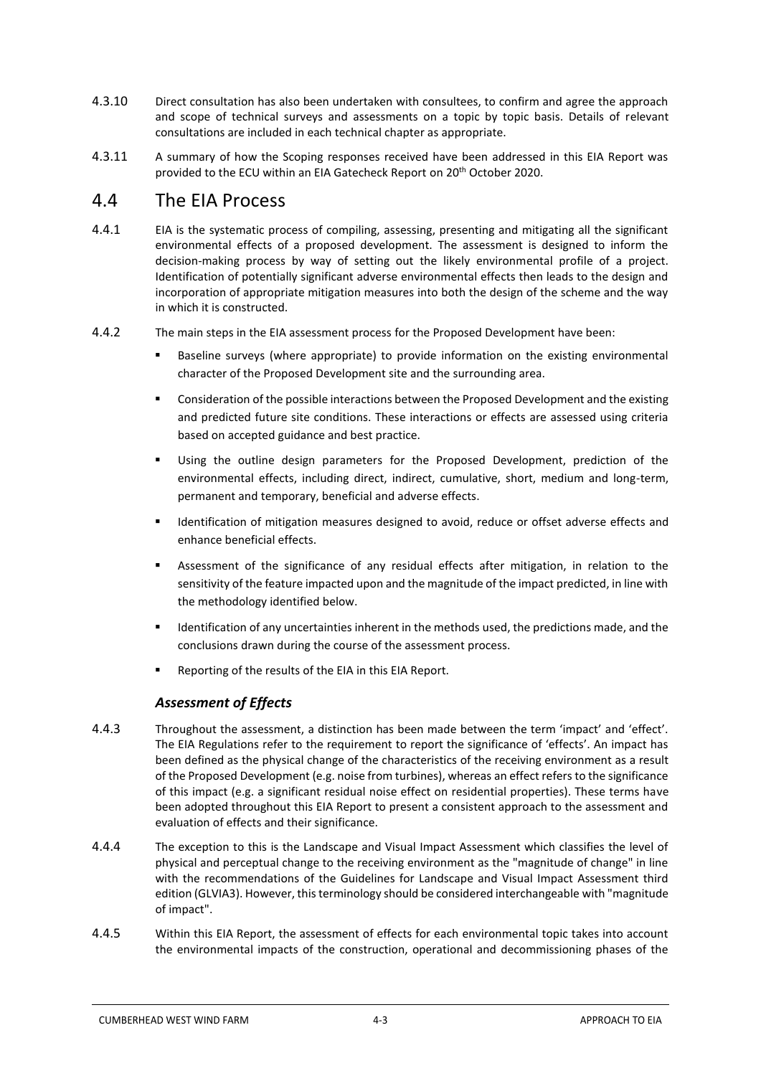- 4.3.10 Direct consultation has also been undertaken with consultees, to confirm and agree the approach and scope of technical surveys and assessments on a topic by topic basis. Details of relevant consultations are included in each technical chapter as appropriate.
- 4.3.11 A summary of how the Scoping responses received have been addressed in this EIA Report was provided to the ECU within an EIA Gatecheck Report on 20th October 2020.

## <span id="page-4-0"></span>4.4 The EIA Process

- 4.4.1 EIA is the systematic process of compiling, assessing, presenting and mitigating all the significant environmental effects of a proposed development. The assessment is designed to inform the decision-making process by way of setting out the likely environmental profile of a project. Identification of potentially significant adverse environmental effects then leads to the design and incorporation of appropriate mitigation measures into both the design of the scheme and the way in which it is constructed.
- 4.4.2 The main steps in the EIA assessment process for the Proposed Development have been:
	- Baseline surveys (where appropriate) to provide information on the existing environmental character of the Proposed Development site and the surrounding area.
	- Consideration of the possible interactions between the Proposed Development and the existing and predicted future site conditions. These interactions or effects are assessed using criteria based on accepted guidance and best practice.
	- Using the outline design parameters for the Proposed Development, prediction of the environmental effects, including direct, indirect, cumulative, short, medium and long-term, permanent and temporary, beneficial and adverse effects.
	- **■** Identification of mitigation measures designed to avoid, reduce or offset adverse effects and enhance beneficial effects.
	- Assessment of the significance of any residual effects after mitigation, in relation to the sensitivity of the feature impacted upon and the magnitude of the impact predicted, in line with the methodology identified below.
	- Identification of any uncertainties inherent in the methods used, the predictions made, and the conclusions drawn during the course of the assessment process.
	- Reporting of the results of the EIA in this EIA Report.

#### *Assessment of Effects*

- 4.4.3 Throughout the assessment, a distinction has been made between the term 'impact' and 'effect'. The EIA Regulations refer to the requirement to report the significance of 'effects'. An impact has been defined as the physical change of the characteristics of the receiving environment as a result of the Proposed Development (e.g. noise from turbines), whereas an effect refers to the significance of this impact (e.g. a significant residual noise effect on residential properties). These terms have been adopted throughout this EIA Report to present a consistent approach to the assessment and evaluation of effects and their significance.
- 4.4.4 The exception to this is the Landscape and Visual Impact Assessment which classifies the level of physical and perceptual change to the receiving environment as the "magnitude of change" in line with the recommendations of the Guidelines for Landscape and Visual Impact Assessment third edition (GLVIA3). However, this terminology should be considered interchangeable with "magnitude of impact".
- 4.4.5 Within this EIA Report, the assessment of effects for each environmental topic takes into account the environmental impacts of the construction, operational and decommissioning phases of the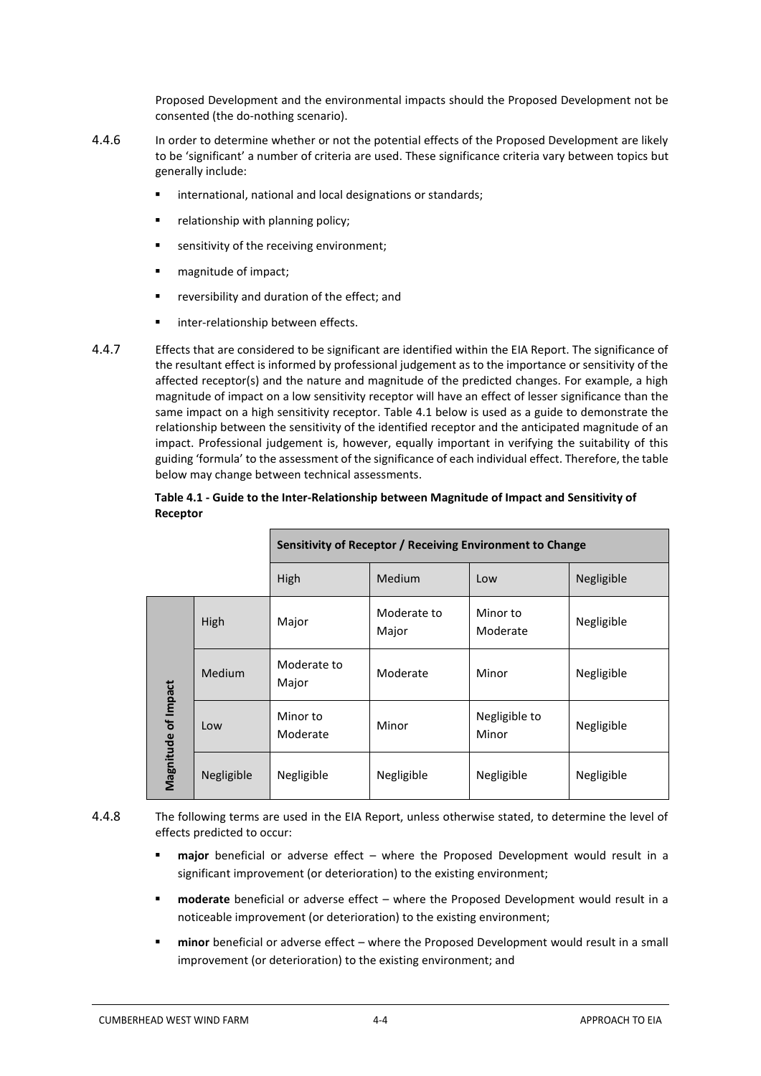Proposed Development and the environmental impacts should the Proposed Development not be consented (the do-nothing scenario).

- 4.4.6 In order to determine whether or not the potential effects of the Proposed Development are likely to be 'significant' a number of criteria are used. These significance criteria vary between topics but generally include:
	- international, national and local designations or standards;
	- relationship with planning policy:
	- sensitivity of the receiving environment;
	- magnitude of impact;
	- reversibility and duration of the effect; and
	- inter-relationship between effects.
- 4.4.7 Effects that are considered to be significant are identified within the EIA Report. The significance of the resultant effect is informed by professional judgement as to the importance or sensitivity of the affected receptor(s) and the nature and magnitude of the predicted changes. For example, a high magnitude of impact on a low sensitivity receptor will have an effect of lesser significance than the same impact on a high sensitivity receptor. Table 4.1 below is used as a guide to demonstrate the relationship between the sensitivity of the identified receptor and the anticipated magnitude of an impact. Professional judgement is, however, equally important in verifying the suitability of this guiding 'formula' to the assessment of the significance of each individual effect. Therefore, the table below may change between technical assessments.

#### **Table 4.1 - Guide to the Inter-Relationship between Magnitude of Impact and Sensitivity of Receptor**

|                     |            | Sensitivity of Receptor / Receiving Environment to Change |                      |                        |            |
|---------------------|------------|-----------------------------------------------------------|----------------------|------------------------|------------|
|                     |            | High                                                      | Medium               | Low                    | Negligible |
|                     | High       | Major                                                     | Moderate to<br>Major | Minor to<br>Moderate   | Negligible |
|                     | Medium     | Moderate to<br>Major                                      | Moderate             | Minor                  | Negligible |
| Magnitude of Impact | Low        | Minor to<br>Moderate                                      | Minor                | Negligible to<br>Minor | Negligible |
|                     | Negligible | Negligible                                                | Negligible           | Negligible             | Negligible |

#### 4.4.8 The following terms are used in the EIA Report, unless otherwise stated, to determine the level of effects predicted to occur:

- **major** beneficial or adverse effect where the Proposed Development would result in a significant improvement (or deterioration) to the existing environment;
- **moderate** beneficial or adverse effect where the Proposed Development would result in a noticeable improvement (or deterioration) to the existing environment;
- **■** minor beneficial or adverse effect where the Proposed Development would result in a small improvement (or deterioration) to the existing environment; and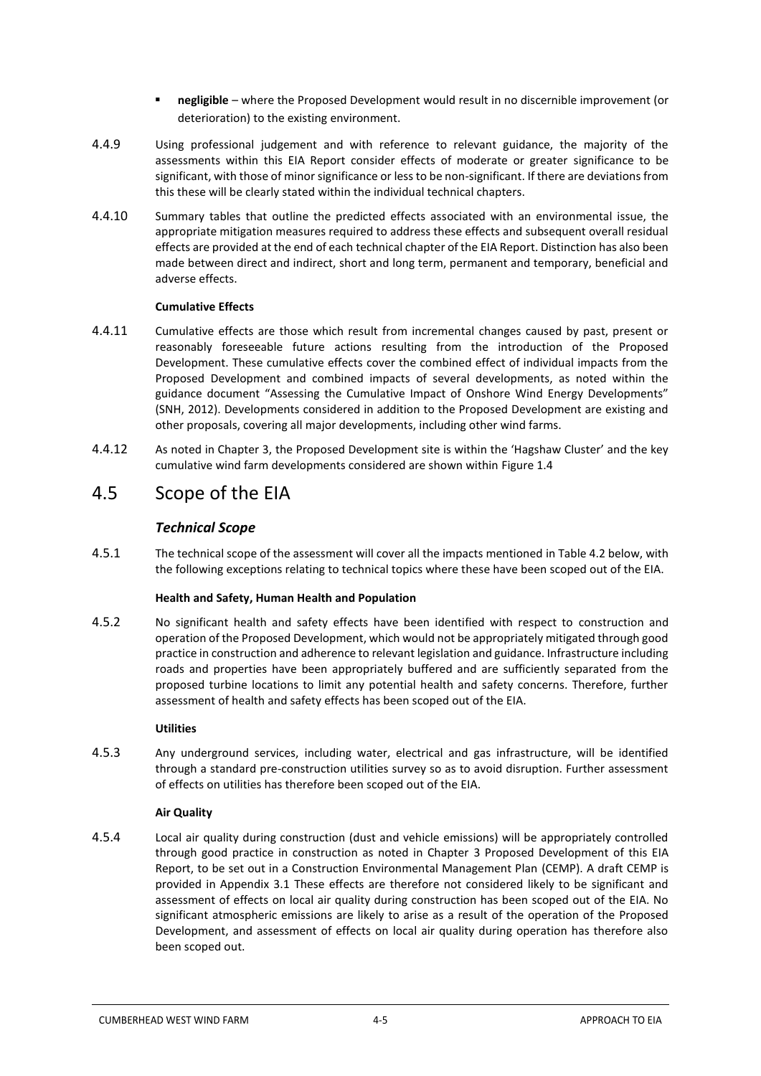- **negligible** where the Proposed Development would result in no discernible improvement (or deterioration) to the existing environment.
- 4.4.9 Using professional judgement and with reference to relevant guidance, the majority of the assessments within this EIA Report consider effects of moderate or greater significance to be significant, with those of minor significance or less to be non-significant. If there are deviations from this these will be clearly stated within the individual technical chapters.
- 4.4.10 Summary tables that outline the predicted effects associated with an environmental issue, the appropriate mitigation measures required to address these effects and subsequent overall residual effects are provided at the end of each technical chapter of the EIA Report. Distinction has also been made between direct and indirect, short and long term, permanent and temporary, beneficial and adverse effects.

#### **Cumulative Effects**

- 4.4.11 Cumulative effects are those which result from incremental changes caused by past, present or reasonably foreseeable future actions resulting from the introduction of the Proposed Development. These cumulative effects cover the combined effect of individual impacts from the Proposed Development and combined impacts of several developments, as noted within the guidance document "Assessing the Cumulative Impact of Onshore Wind Energy Developments" (SNH, 2012). Developments considered in addition to the Proposed Development are existing and other proposals, covering all major developments, including other wind farms.
- 4.4.12 As noted in Chapter 3, the Proposed Development site is within the 'Hagshaw Cluster' and the key cumulative wind farm developments considered are shown within Figure 1.4

## <span id="page-6-0"></span>4.5 Scope of the EIA

#### *Technical Scope*

4.5.1 The technical scope of the assessment will cover all the impacts mentioned in Table 4.2 below, with the following exceptions relating to technical topics where these have been scoped out of the EIA.

#### **Health and Safety, Human Health and Population**

4.5.2 No significant health and safety effects have been identified with respect to construction and operation of the Proposed Development, which would not be appropriately mitigated through good practice in construction and adherence to relevant legislation and guidance. Infrastructure including roads and properties have been appropriately buffered and are sufficiently separated from the proposed turbine locations to limit any potential health and safety concerns. Therefore, further assessment of health and safety effects has been scoped out of the EIA.

#### **Utilities**

4.5.3 Any underground services, including water, electrical and gas infrastructure, will be identified through a standard pre-construction utilities survey so as to avoid disruption. Further assessment of effects on utilities has therefore been scoped out of the EIA.

#### **Air Quality**

4.5.4 Local air quality during construction (dust and vehicle emissions) will be appropriately controlled through good practice in construction as noted in Chapter 3 Proposed Development of this EIA Report, to be set out in a Construction Environmental Management Plan (CEMP). A draft CEMP is provided in Appendix 3.1 These effects are therefore not considered likely to be significant and assessment of effects on local air quality during construction has been scoped out of the EIA. No significant atmospheric emissions are likely to arise as a result of the operation of the Proposed Development, and assessment of effects on local air quality during operation has therefore also been scoped out.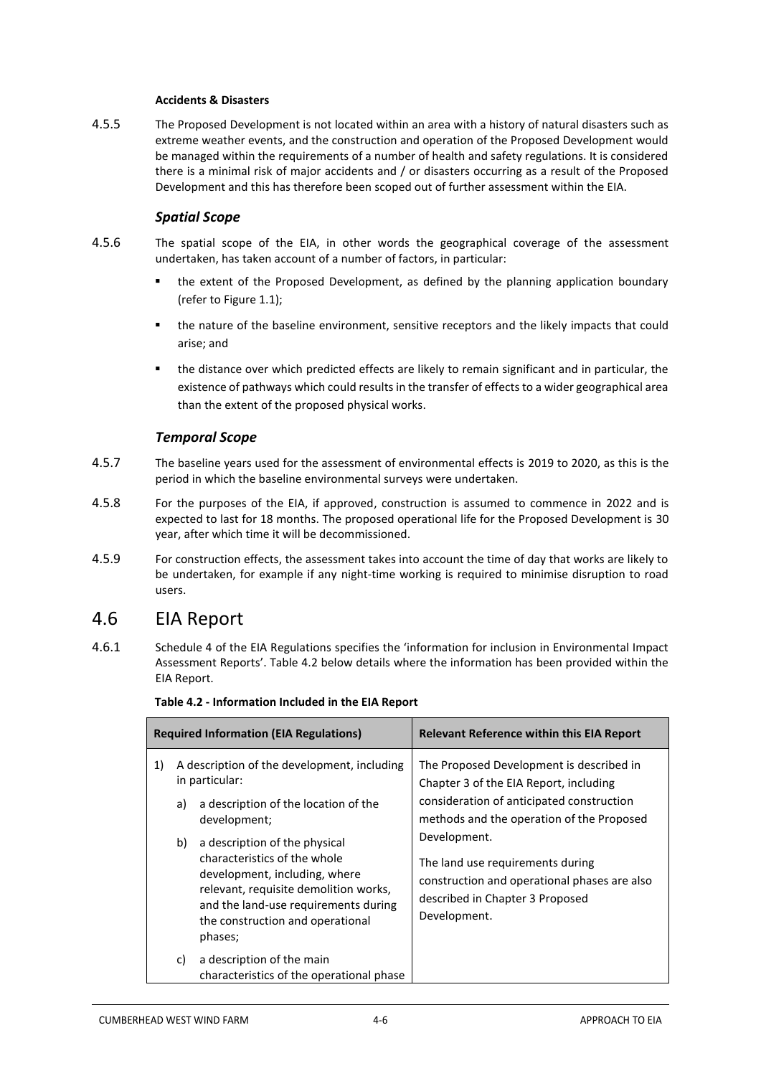#### **Accidents & Disasters**

4.5.5 The Proposed Development is not located within an area with a history of natural disasters such as extreme weather events, and the construction and operation of the Proposed Development would be managed within the requirements of a number of health and safety regulations. It is considered there is a minimal risk of major accidents and / or disasters occurring as a result of the Proposed Development and this has therefore been scoped out of further assessment within the EIA.

#### *Spatial Scope*

- 4.5.6 The spatial scope of the EIA, in other words the geographical coverage of the assessment undertaken, has taken account of a number of factors, in particular:
	- the extent of the Proposed Development, as defined by the planning application boundary (refer to Figure 1.1);
	- the nature of the baseline environment, sensitive receptors and the likely impacts that could arise; and
	- the distance over which predicted effects are likely to remain significant and in particular, the existence of pathways which could results in the transfer of effects to a wider geographical area than the extent of the proposed physical works.

#### *Temporal Scope*

- 4.5.7 The baseline years used for the assessment of environmental effects is 2019 to 2020, as this is the period in which the baseline environmental surveys were undertaken.
- 4.5.8 For the purposes of the EIA, if approved, construction is assumed to commence in 2022 and is expected to last for 18 months. The proposed operational life for the Proposed Development is 30 year, after which time it will be decommissioned.
- 4.5.9 For construction effects, the assessment takes into account the time of day that works are likely to be undertaken, for example if any night-time working is required to minimise disruption to road users.

## <span id="page-7-0"></span>4.6 EIA Report

4.6.1 Schedule 4 of the EIA Regulations specifies the 'information for inclusion in Environmental Impact Assessment Reports'. Table 4.2 below details where the information has been provided within the EIA Report.

| <b>Required Information (EIA Regulations)</b> |          |                                                                                                                                                                                                                                                                                                                                                         | <b>Relevant Reference within this EIA Report</b>                                                                                                                                                                                                                                                                                    |
|-----------------------------------------------|----------|---------------------------------------------------------------------------------------------------------------------------------------------------------------------------------------------------------------------------------------------------------------------------------------------------------------------------------------------------------|-------------------------------------------------------------------------------------------------------------------------------------------------------------------------------------------------------------------------------------------------------------------------------------------------------------------------------------|
| 1)                                            | a)<br>b) | A description of the development, including<br>in particular:<br>a description of the location of the<br>development;<br>a description of the physical<br>characteristics of the whole<br>development, including, where<br>relevant, requisite demolition works,<br>and the land-use requirements during<br>the construction and operational<br>phases; | The Proposed Development is described in<br>Chapter 3 of the EIA Report, including<br>consideration of anticipated construction<br>methods and the operation of the Proposed<br>Development.<br>The land use requirements during<br>construction and operational phases are also<br>described in Chapter 3 Proposed<br>Development. |
|                                               | C)       | a description of the main<br>characteristics of the operational phase                                                                                                                                                                                                                                                                                   |                                                                                                                                                                                                                                                                                                                                     |

**Table 4.2 - Information Included in the EIA Report**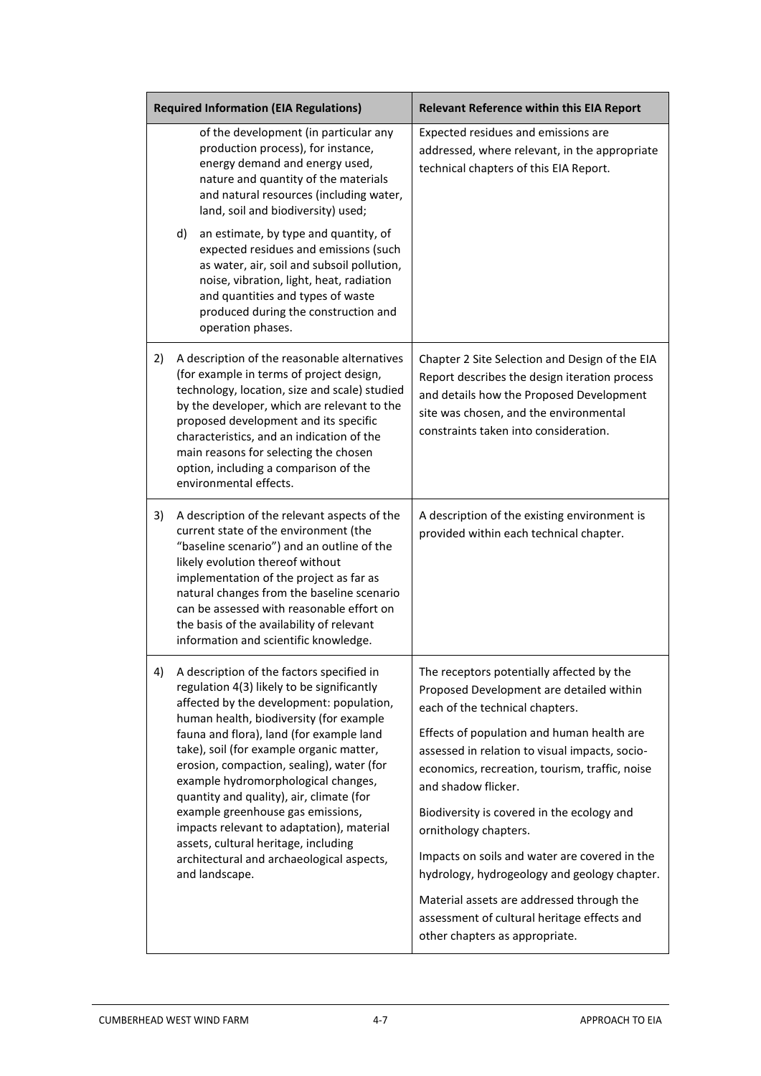| <b>Required Information (EIA Regulations)</b> |                                                                                                                                                                                                                                                                                                                                                                                                                                                                                                                                                                                                 | <b>Relevant Reference within this EIA Report</b>                                                                                                                                                                                                                                                                                                                                                                                                                                                                                                                                                        |  |
|-----------------------------------------------|-------------------------------------------------------------------------------------------------------------------------------------------------------------------------------------------------------------------------------------------------------------------------------------------------------------------------------------------------------------------------------------------------------------------------------------------------------------------------------------------------------------------------------------------------------------------------------------------------|---------------------------------------------------------------------------------------------------------------------------------------------------------------------------------------------------------------------------------------------------------------------------------------------------------------------------------------------------------------------------------------------------------------------------------------------------------------------------------------------------------------------------------------------------------------------------------------------------------|--|
|                                               | of the development (in particular any<br>production process), for instance,<br>energy demand and energy used,<br>nature and quantity of the materials<br>and natural resources (including water,<br>land, soil and biodiversity) used;                                                                                                                                                                                                                                                                                                                                                          | Expected residues and emissions are<br>addressed, where relevant, in the appropriate<br>technical chapters of this EIA Report.                                                                                                                                                                                                                                                                                                                                                                                                                                                                          |  |
|                                               | an estimate, by type and quantity, of<br>d)<br>expected residues and emissions (such<br>as water, air, soil and subsoil pollution,<br>noise, vibration, light, heat, radiation<br>and quantities and types of waste<br>produced during the construction and<br>operation phases.                                                                                                                                                                                                                                                                                                                |                                                                                                                                                                                                                                                                                                                                                                                                                                                                                                                                                                                                         |  |
| 2)                                            | A description of the reasonable alternatives<br>(for example in terms of project design,<br>technology, location, size and scale) studied<br>by the developer, which are relevant to the<br>proposed development and its specific<br>characteristics, and an indication of the<br>main reasons for selecting the chosen<br>option, including a comparison of the<br>environmental effects.                                                                                                                                                                                                      | Chapter 2 Site Selection and Design of the EIA<br>Report describes the design iteration process<br>and details how the Proposed Development<br>site was chosen, and the environmental<br>constraints taken into consideration.                                                                                                                                                                                                                                                                                                                                                                          |  |
| 3)                                            | A description of the relevant aspects of the<br>current state of the environment (the<br>"baseline scenario") and an outline of the<br>likely evolution thereof without<br>implementation of the project as far as<br>natural changes from the baseline scenario<br>can be assessed with reasonable effort on<br>the basis of the availability of relevant<br>information and scientific knowledge.                                                                                                                                                                                             | A description of the existing environment is<br>provided within each technical chapter.                                                                                                                                                                                                                                                                                                                                                                                                                                                                                                                 |  |
| 4)                                            | A description of the factors specified in<br>regulation 4(3) likely to be significantly<br>affected by the development: population,<br>human health, biodiversity (for example<br>fauna and flora), land (for example land<br>take), soil (for example organic matter,<br>erosion, compaction, sealing), water (for<br>example hydromorphological changes,<br>quantity and quality), air, climate (for<br>example greenhouse gas emissions,<br>impacts relevant to adaptation), material<br>assets, cultural heritage, including<br>architectural and archaeological aspects,<br>and landscape. | The receptors potentially affected by the<br>Proposed Development are detailed within<br>each of the technical chapters.<br>Effects of population and human health are<br>assessed in relation to visual impacts, socio-<br>economics, recreation, tourism, traffic, noise<br>and shadow flicker.<br>Biodiversity is covered in the ecology and<br>ornithology chapters.<br>Impacts on soils and water are covered in the<br>hydrology, hydrogeology and geology chapter.<br>Material assets are addressed through the<br>assessment of cultural heritage effects and<br>other chapters as appropriate. |  |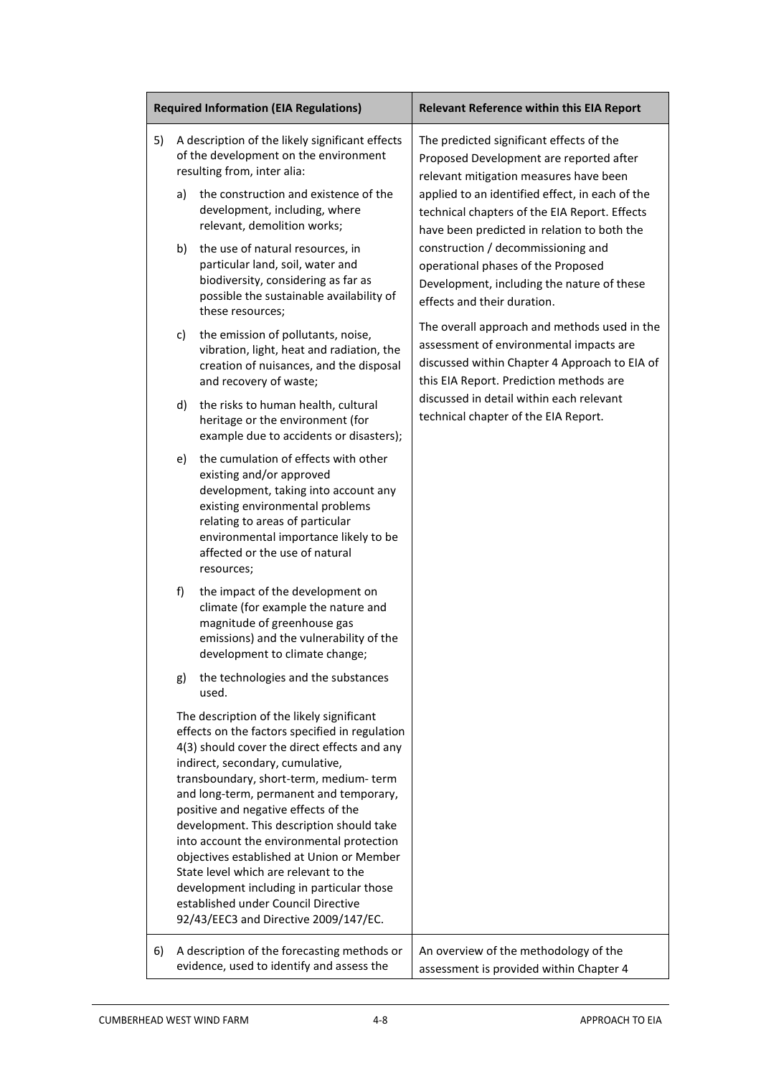| <b>Required Information (EIA Regulations)</b> |                                                                                                                                                                                                                                                                                                                                                                                                                                                                                                                                                                                                                            |                                                                                                                                                                                                                                                                         | <b>Relevant Reference within this EIA Report</b>                                                                                                                                    |
|-----------------------------------------------|----------------------------------------------------------------------------------------------------------------------------------------------------------------------------------------------------------------------------------------------------------------------------------------------------------------------------------------------------------------------------------------------------------------------------------------------------------------------------------------------------------------------------------------------------------------------------------------------------------------------------|-------------------------------------------------------------------------------------------------------------------------------------------------------------------------------------------------------------------------------------------------------------------------|-------------------------------------------------------------------------------------------------------------------------------------------------------------------------------------|
| 5)                                            |                                                                                                                                                                                                                                                                                                                                                                                                                                                                                                                                                                                                                            | A description of the likely significant effects<br>of the development on the environment<br>resulting from, inter alia:                                                                                                                                                 | The predicted significant effects of the<br>Proposed Development are reported after<br>relevant mitigation measures have been                                                       |
|                                               | a)                                                                                                                                                                                                                                                                                                                                                                                                                                                                                                                                                                                                                         | the construction and existence of the<br>development, including, where<br>relevant, demolition works;                                                                                                                                                                   | applied to an identified effect, in each of the<br>technical chapters of the EIA Report. Effects<br>have been predicted in relation to both the                                     |
|                                               | b)                                                                                                                                                                                                                                                                                                                                                                                                                                                                                                                                                                                                                         | the use of natural resources, in<br>particular land, soil, water and<br>biodiversity, considering as far as<br>possible the sustainable availability of<br>these resources;                                                                                             | construction / decommissioning and<br>operational phases of the Proposed<br>Development, including the nature of these<br>effects and their duration.                               |
|                                               | C)                                                                                                                                                                                                                                                                                                                                                                                                                                                                                                                                                                                                                         | the emission of pollutants, noise,<br>vibration, light, heat and radiation, the<br>creation of nuisances, and the disposal<br>and recovery of waste;                                                                                                                    | The overall approach and methods used in the<br>assessment of environmental impacts are<br>discussed within Chapter 4 Approach to EIA of<br>this EIA Report. Prediction methods are |
|                                               | d)                                                                                                                                                                                                                                                                                                                                                                                                                                                                                                                                                                                                                         | the risks to human health, cultural<br>heritage or the environment (for<br>example due to accidents or disasters);                                                                                                                                                      | discussed in detail within each relevant<br>technical chapter of the EIA Report.                                                                                                    |
|                                               | e)                                                                                                                                                                                                                                                                                                                                                                                                                                                                                                                                                                                                                         | the cumulation of effects with other<br>existing and/or approved<br>development, taking into account any<br>existing environmental problems<br>relating to areas of particular<br>environmental importance likely to be<br>affected or the use of natural<br>resources; |                                                                                                                                                                                     |
|                                               | f)                                                                                                                                                                                                                                                                                                                                                                                                                                                                                                                                                                                                                         | the impact of the development on<br>climate (for example the nature and<br>magnitude of greenhouse gas<br>emissions) and the vulnerability of the<br>development to climate change;                                                                                     |                                                                                                                                                                                     |
|                                               | g)                                                                                                                                                                                                                                                                                                                                                                                                                                                                                                                                                                                                                         | the technologies and the substances<br>used.                                                                                                                                                                                                                            |                                                                                                                                                                                     |
|                                               | The description of the likely significant<br>effects on the factors specified in regulation<br>4(3) should cover the direct effects and any<br>indirect, secondary, cumulative,<br>transboundary, short-term, medium- term<br>and long-term, permanent and temporary,<br>positive and negative effects of the<br>development. This description should take<br>into account the environmental protection<br>objectives established at Union or Member<br>State level which are relevant to the<br>development including in particular those<br>established under Council Directive<br>92/43/EEC3 and Directive 2009/147/EC. |                                                                                                                                                                                                                                                                         |                                                                                                                                                                                     |
| 6)                                            |                                                                                                                                                                                                                                                                                                                                                                                                                                                                                                                                                                                                                            | A description of the forecasting methods or<br>evidence, used to identify and assess the                                                                                                                                                                                | An overview of the methodology of the<br>assessment is provided within Chapter 4                                                                                                    |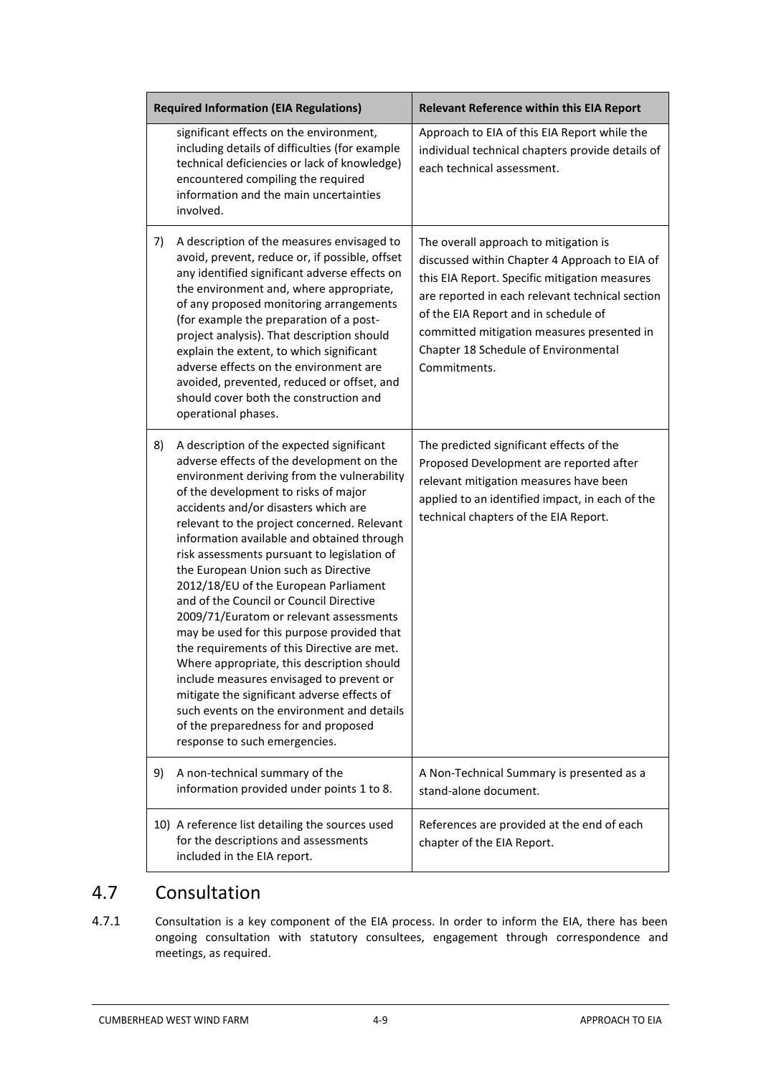| <b>Required Information (EIA Regulations)</b> |                                                                                                                                                                                                                                                                                                                                                                                                                                                                                                                                                                                                                                                                                                                                                                                                                                                                                                       | <b>Relevant Reference within this EIA Report</b>                                                                                                                                                                                                                                                                                         |  |
|-----------------------------------------------|-------------------------------------------------------------------------------------------------------------------------------------------------------------------------------------------------------------------------------------------------------------------------------------------------------------------------------------------------------------------------------------------------------------------------------------------------------------------------------------------------------------------------------------------------------------------------------------------------------------------------------------------------------------------------------------------------------------------------------------------------------------------------------------------------------------------------------------------------------------------------------------------------------|------------------------------------------------------------------------------------------------------------------------------------------------------------------------------------------------------------------------------------------------------------------------------------------------------------------------------------------|--|
|                                               | significant effects on the environment,<br>including details of difficulties (for example<br>technical deficiencies or lack of knowledge)<br>encountered compiling the required<br>information and the main uncertainties<br>involved.                                                                                                                                                                                                                                                                                                                                                                                                                                                                                                                                                                                                                                                                | Approach to EIA of this EIA Report while the<br>individual technical chapters provide details of<br>each technical assessment.                                                                                                                                                                                                           |  |
| 7)                                            | A description of the measures envisaged to<br>avoid, prevent, reduce or, if possible, offset<br>any identified significant adverse effects on<br>the environment and, where appropriate,<br>of any proposed monitoring arrangements<br>(for example the preparation of a post-<br>project analysis). That description should<br>explain the extent, to which significant<br>adverse effects on the environment are<br>avoided, prevented, reduced or offset, and<br>should cover both the construction and<br>operational phases.                                                                                                                                                                                                                                                                                                                                                                     | The overall approach to mitigation is<br>discussed within Chapter 4 Approach to EIA of<br>this EIA Report. Specific mitigation measures<br>are reported in each relevant technical section<br>of the EIA Report and in schedule of<br>committed mitigation measures presented in<br>Chapter 18 Schedule of Environmental<br>Commitments. |  |
| 8)                                            | A description of the expected significant<br>adverse effects of the development on the<br>environment deriving from the vulnerability<br>of the development to risks of major<br>accidents and/or disasters which are<br>relevant to the project concerned. Relevant<br>information available and obtained through<br>risk assessments pursuant to legislation of<br>the European Union such as Directive<br>2012/18/EU of the European Parliament<br>and of the Council or Council Directive<br>2009/71/Euratom or relevant assessments<br>may be used for this purpose provided that<br>the requirements of this Directive are met.<br>Where appropriate, this description should<br>include measures envisaged to prevent or<br>mitigate the significant adverse effects of<br>such events on the environment and details<br>of the preparedness for and proposed<br>response to such emergencies. | The predicted significant effects of the<br>Proposed Development are reported after<br>relevant mitigation measures have been<br>applied to an identified impact, in each of the<br>technical chapters of the EIA Report.                                                                                                                |  |
| 9)                                            | A non-technical summary of the<br>information provided under points 1 to 8.                                                                                                                                                                                                                                                                                                                                                                                                                                                                                                                                                                                                                                                                                                                                                                                                                           | A Non-Technical Summary is presented as a<br>stand-alone document.                                                                                                                                                                                                                                                                       |  |
|                                               | 10) A reference list detailing the sources used<br>for the descriptions and assessments<br>included in the EIA report.                                                                                                                                                                                                                                                                                                                                                                                                                                                                                                                                                                                                                                                                                                                                                                                | References are provided at the end of each<br>chapter of the EIA Report.                                                                                                                                                                                                                                                                 |  |

## <span id="page-10-0"></span>4.7 Consultation

4.7.1 Consultation is a key component of the EIA process. In order to inform the EIA, there has been ongoing consultation with statutory consultees, engagement through correspondence and meetings, as required.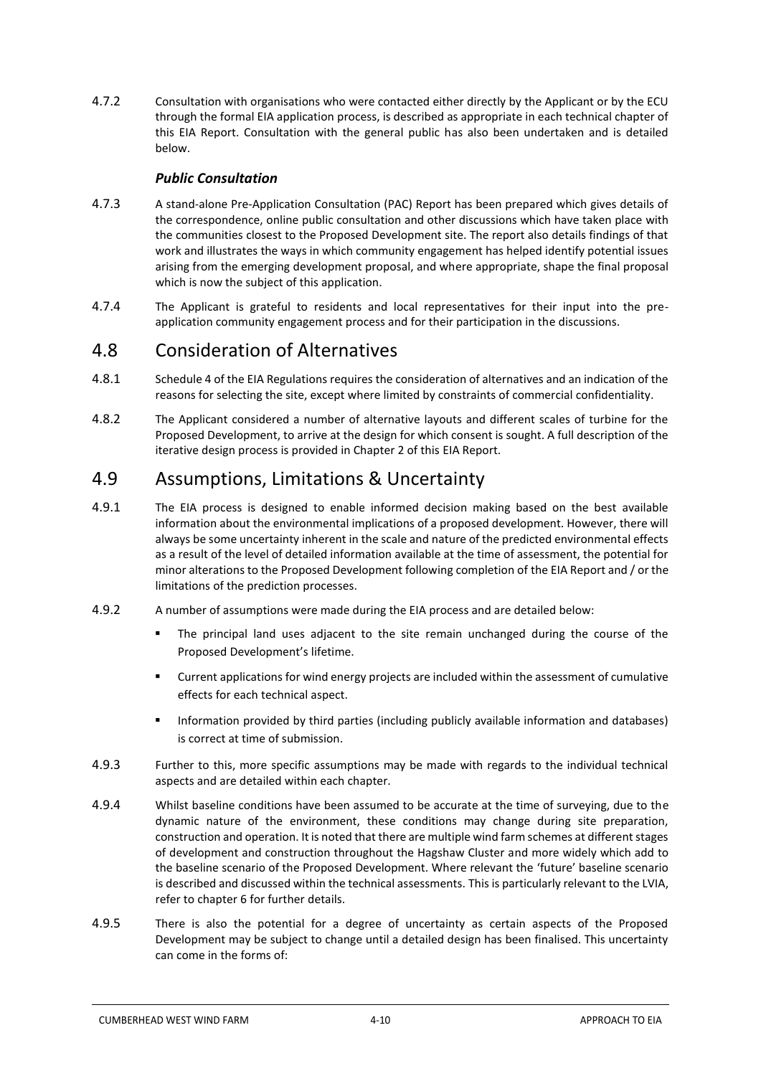4.7.2 Consultation with organisations who were contacted either directly by the Applicant or by the ECU through the formal EIA application process, is described as appropriate in each technical chapter of this EIA Report. Consultation with the general public has also been undertaken and is detailed below.

#### *Public Consultation*

- 4.7.3 A stand-alone Pre-Application Consultation (PAC) Report has been prepared which gives details of the correspondence, online public consultation and other discussions which have taken place with the communities closest to the Proposed Development site. The report also details findings of that work and illustrates the ways in which community engagement has helped identify potential issues arising from the emerging development proposal, and where appropriate, shape the final proposal which is now the subject of this application.
- 4.7.4 The Applicant is grateful to residents and local representatives for their input into the preapplication community engagement process and for their participation in the discussions.

## <span id="page-11-0"></span>4.8 Consideration of Alternatives

- 4.8.1 Schedule 4 of the EIA Regulations requires the consideration of alternatives and an indication of the reasons for selecting the site, except where limited by constraints of commercial confidentiality.
- 4.8.2 The Applicant considered a number of alternative layouts and different scales of turbine for the Proposed Development, to arrive at the design for which consent is sought. A full description of the iterative design process is provided in Chapter 2 of this EIA Report.

## <span id="page-11-1"></span>4.9 Assumptions, Limitations & Uncertainty

- 4.9.1 The EIA process is designed to enable informed decision making based on the best available information about the environmental implications of a proposed development. However, there will always be some uncertainty inherent in the scale and nature of the predicted environmental effects as a result of the level of detailed information available at the time of assessment, the potential for minor alterations to the Proposed Development following completion of the EIA Report and / or the limitations of the prediction processes.
- 4.9.2 A number of assumptions were made during the EIA process and are detailed below:
	- The principal land uses adjacent to the site remain unchanged during the course of the Proposed Development's lifetime.
	- **EXECUTE:** Current applications for wind energy projects are included within the assessment of cumulative effects for each technical aspect.
	- Information provided by third parties (including publicly available information and databases) is correct at time of submission.
- 4.9.3 Further to this, more specific assumptions may be made with regards to the individual technical aspects and are detailed within each chapter.
- 4.9.4 Whilst baseline conditions have been assumed to be accurate at the time of surveying, due to the dynamic nature of the environment, these conditions may change during site preparation, construction and operation. It is noted that there are multiple wind farm schemes at different stages of development and construction throughout the Hagshaw Cluster and more widely which add to the baseline scenario of the Proposed Development. Where relevant the 'future' baseline scenario is described and discussed within the technical assessments. This is particularly relevant to the LVIA, refer to chapter 6 for further details.
- 4.9.5 There is also the potential for a degree of uncertainty as certain aspects of the Proposed Development may be subject to change until a detailed design has been finalised. This uncertainty can come in the forms of: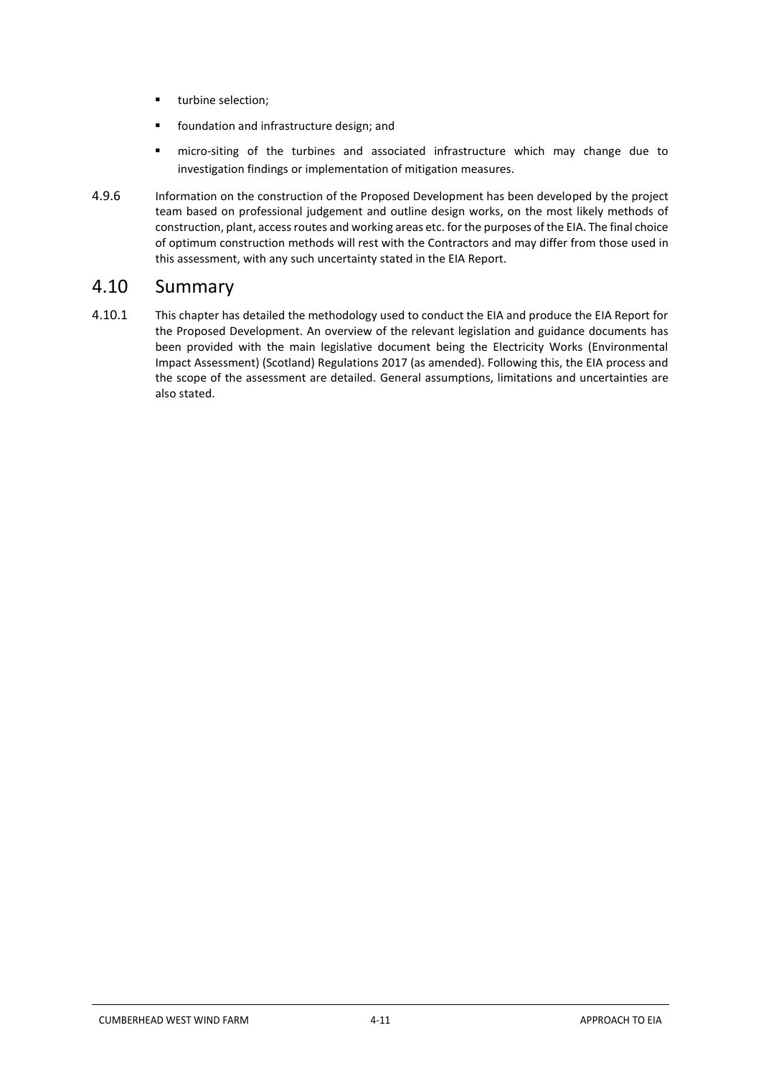- **■** turbine selection;
- foundation and infrastructure design; and
- micro-siting of the turbines and associated infrastructure which may change due to investigation findings or implementation of mitigation measures.
- 4.9.6 Information on the construction of the Proposed Development has been developed by the project team based on professional judgement and outline design works, on the most likely methods of construction, plant, access routes and working areas etc. for the purposes of the EIA. The final choice of optimum construction methods will rest with the Contractors and may differ from those used in this assessment, with any such uncertainty stated in the EIA Report.

## <span id="page-12-0"></span>4.10 Summary

4.10.1 This chapter has detailed the methodology used to conduct the EIA and produce the EIA Report for the Proposed Development. An overview of the relevant legislation and guidance documents has been provided with the main legislative document being the Electricity Works (Environmental Impact Assessment) (Scotland) Regulations 2017 (as amended). Following this, the EIA process and the scope of the assessment are detailed. General assumptions, limitations and uncertainties are also stated.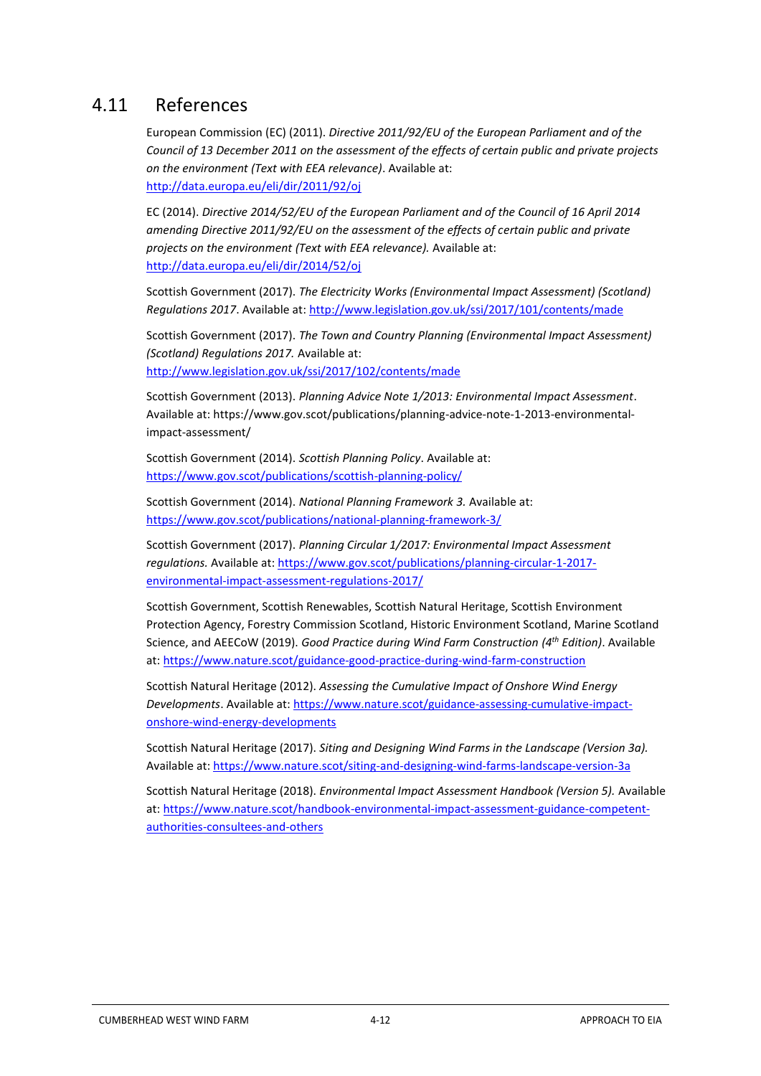## <span id="page-13-0"></span>4.11 References

European Commission (EC) (2011). *Directive 2011/92/EU of the European Parliament and of the Council of 13 December 2011 on the assessment of the effects of certain public and private projects on the environment (Text with EEA relevance)*. Available at: <http://data.europa.eu/eli/dir/2011/92/oj>

EC (2014). *Directive 2014/52/EU of the European Parliament and of the Council of 16 April 2014 amending Directive 2011/92/EU on the assessment of the effects of certain public and private projects on the environment (Text with EEA relevance).* Available at: <http://data.europa.eu/eli/dir/2014/52/oj>

Scottish Government (2017). *The Electricity Works (Environmental Impact Assessment) (Scotland) Regulations 2017*. Available at:<http://www.legislation.gov.uk/ssi/2017/101/contents/made>

Scottish Government (2017). *The Town and Country Planning (Environmental Impact Assessment) (Scotland) Regulations 2017.* Available at: <http://www.legislation.gov.uk/ssi/2017/102/contents/made>

Scottish Government (2013). *Planning Advice Note 1/2013: Environmental Impact Assessment*. Available at: https://www.gov.scot/publications/planning-advice-note-1-2013-environmentalimpact-assessment/

Scottish Government (2014). *Scottish Planning Policy*. Available at: <https://www.gov.scot/publications/scottish-planning-policy/>

Scottish Government (2014). *National Planning Framework 3.* Available at: <https://www.gov.scot/publications/national-planning-framework-3/>

Scottish Government (2017). *Planning Circular 1/2017: Environmental Impact Assessment regulations.* Available at[: https://www.gov.scot/publications/planning-circular-1-2017](https://www.gov.scot/publications/planning-circular-1-2017-environmental-impact-assessment-regulations-2017/) [environmental-impact-assessment-regulations-2017/](https://www.gov.scot/publications/planning-circular-1-2017-environmental-impact-assessment-regulations-2017/)

Scottish Government, Scottish Renewables, Scottish Natural Heritage, Scottish Environment Protection Agency, Forestry Commission Scotland, Historic Environment Scotland, Marine Scotland Science, and AEECoW (2019). *Good Practice during Wind Farm Construction (4th Edition)*. Available at[: https://www.nature.scot/guidance-good-practice-during-wind-farm-construction](https://www.nature.scot/guidance-good-practice-during-wind-farm-construction)

Scottish Natural Heritage (2012). *Assessing the Cumulative Impact of Onshore Wind Energy Developments*. Available at[: https://www.nature.scot/guidance-assessing-cumulative-impact](https://www.nature.scot/guidance-assessing-cumulative-impact-onshore-wind-energy-developments)[onshore-wind-energy-developments](https://www.nature.scot/guidance-assessing-cumulative-impact-onshore-wind-energy-developments)

Scottish Natural Heritage (2017). *Siting and Designing Wind Farms in the Landscape (Version 3a).*  Available at:<https://www.nature.scot/siting-and-designing-wind-farms-landscape-version-3a>

Scottish Natural Heritage (2018). *Environmental Impact Assessment Handbook (Version 5).* Available at[: https://www.nature.scot/handbook-environmental-impact-assessment-guidance-competent](https://www.nature.scot/handbook-environmental-impact-assessment-guidance-competent-authorities-consultees-and-others)[authorities-consultees-and-others](https://www.nature.scot/handbook-environmental-impact-assessment-guidance-competent-authorities-consultees-and-others)